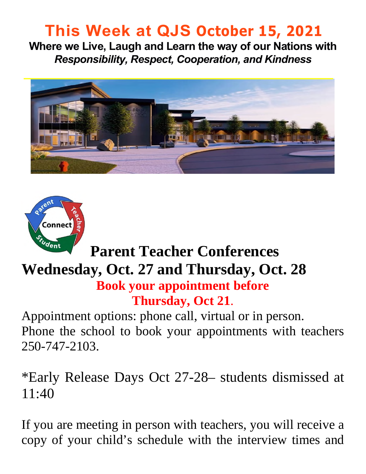# **This Week at QJS October 15, 2021**

**Where we Live, Laugh and Learn the way of our Nations with**  *Responsibility, Respect, Cooperation, and Kindness* 





# **Parent Teacher Conferences**

#### **Wednesday, Oct. 27 and Thursday, Oct. 28 Book your appointment before Thursday, Oct 21**.

Appointment options: phone call, virtual or in person. Phone the school to book your appointments with teachers 250-747-2103.

\*Early Release Days Oct 27-28– students dismissed at 11:40

If you are meeting in person with teachers, you will receive a copy of your child's schedule with the interview times and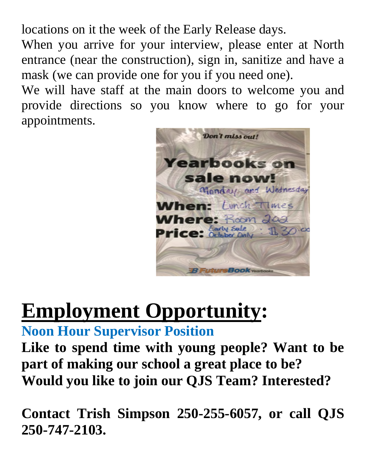locations on it the week of the Early Release days.

When you arrive for your interview, please enter at North entrance (near the construction), sign in, sanitize and have a mask (we can provide one for you if you need one).

We will have staff at the main doors to welcome you and provide directions so you know where to go for your appointments.



# **Employment Opportunity:**

**Noon Hour Supervisor Position** 

**Like to spend time with young people? Want to be part of making our school a great place to be? Would you like to join our QJS Team? Interested?** 

**Contact Trish Simpson 250-255-6057, or call QJS 250-747-2103.**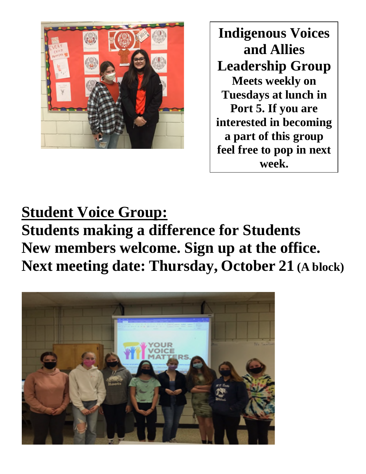

**Indigenous Voices and Allies Leadership Group Meets weekly on Tuesdays at lunch in Port 5. If you are interested in becoming a part of this group feel free to pop in next week.**

# **Student Voice Group:**

**Students making a difference for Students New members welcome. Sign up at the office. Next meeting date: Thursday, October 21 (A block)** 

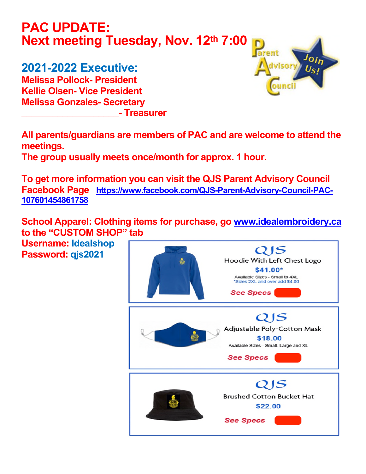#### **PAC UPDATE: Next meeting Tuesday, Nov. 12th 7:00**

#### **2021-2022 Executive:**

**Melissa Pollock- President Kellie Olsen- Vice President Melissa Gonzales- Secretary \_\_\_\_\_\_\_\_\_\_\_\_\_\_\_\_\_\_\_- Treasurer** 



**All parents/guardians are members of PAC and are welcome to attend the meetings.** 

**The group usually meets once/month for approx. 1 hour.** 

**To get more information you can visit the QJS Parent Advisory Council Facebook Page [https://www.facebook.com/QJS-Parent-Advisory-Council-PAC-](https://www.facebook.com/QJS-Parent-Advisory-Council-PAC-107601454861758)[107601454861758](https://www.facebook.com/QJS-Parent-Advisory-Council-PAC-107601454861758)** 

**School Apparel: Clothing items for purchase, go [www.idealembroidery.ca](http://www.idealembroidery.ca/) to the "CUSTOM SHOP" tab** 

**Username: Idealshop Password: qjs2021**

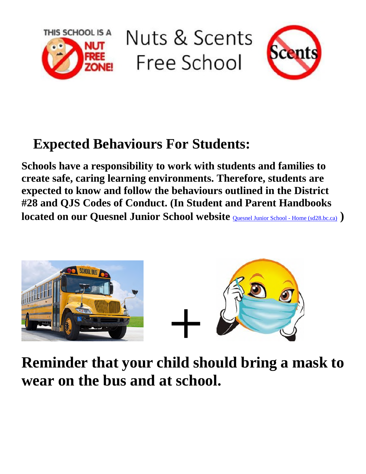

Nuts & Scents Free School



#### **Expected Behaviours For Students:**

**Schools have a responsibility to work with students and families to create safe, caring learning environments. Therefore, students are expected to know and follow the behaviours outlined in the District #28 and QJS Codes of Conduct. (In Student and Parent Handbooks located on our Quesnel Junior School website** *Quesnel Junior School - Home* **(sd28.bc.ca) )** 



**Reminder that your child should bring a mask to wear on the bus and at school.**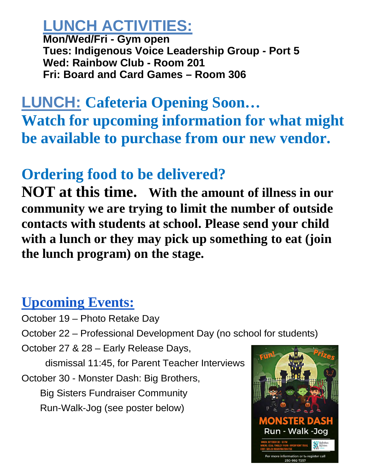# **LUNCH ACTIVITIES:**

**Mon/Wed/Fri - Gym open Tues: Indigenous Voice Leadership Group - Port 5 Wed: Rainbow Club - Room 201 Fri: Board and Card Games – Room 306** 

# **LUNCH: Cafeteria Opening Soon… Watch for upcoming information for what might be available to purchase from our new vendor.**

## **Ordering food to be delivered?**

**NOT at this time. With the amount of illness in our community we are trying to limit the number of outside contacts with students at school. Please send your child with a lunch or they may pick up something to eat (join the lunch program) on the stage.** 

#### **Upcoming Events:**

- October 19 Photo Retake Day
- October 22 Professional Development Day (no school for students)

October 27 & 28 – Early Release Days,

dismissal 11:45, for Parent Teacher Interviews

October 30 - Monster Dash: Big Brothers,

 Big Sisters Fundraiser Community Run-Walk-Jog (see poster below)

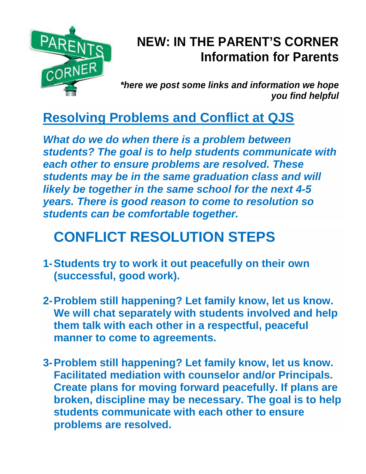

#### **NEW: IN THE PARENT'S CORNER Information for Parents**

*\*here we post some links and information we hope you find helpful* 

#### **Resolving Problems and Conflict at QJS**

*What do we do when there is a problem between students? The goal is to help students communicate with each other to ensure problems are resolved. These students may be in the same graduation class and will likely be together in the same school for the next 4-5 years. There is good reason to come to resolution so students can be comfortable together.* 

# **CONFLICT RESOLUTION STEPS**

- **1- Students try to work it out peacefully on their own (successful, good work).**
- **2- Problem still happening? Let family know, let us know. We will chat separately with students involved and help them talk with each other in a respectful, peaceful manner to come to agreements.**
- **3- Problem still happening? Let family know, let us know. Facilitated mediation with counselor and/or Principals. Create plans for moving forward peacefully. If plans are broken, discipline may be necessary. The goal is to help students communicate with each other to ensure problems are resolved.**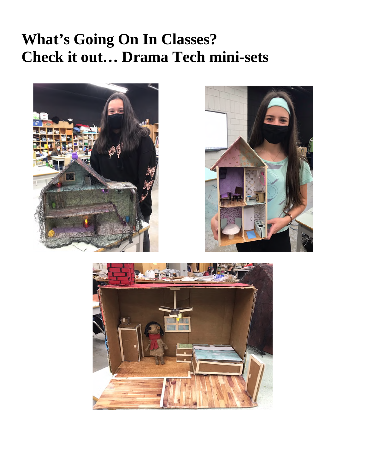## **What's Going On In Classes? Check it out… Drama Tech mini-sets**





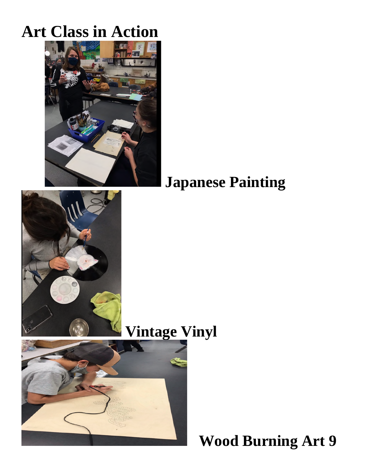# **Art Class in Action**



## **Japanese Painting**



## **Vintage Vinyl**



 **Wood Burning Art 9**